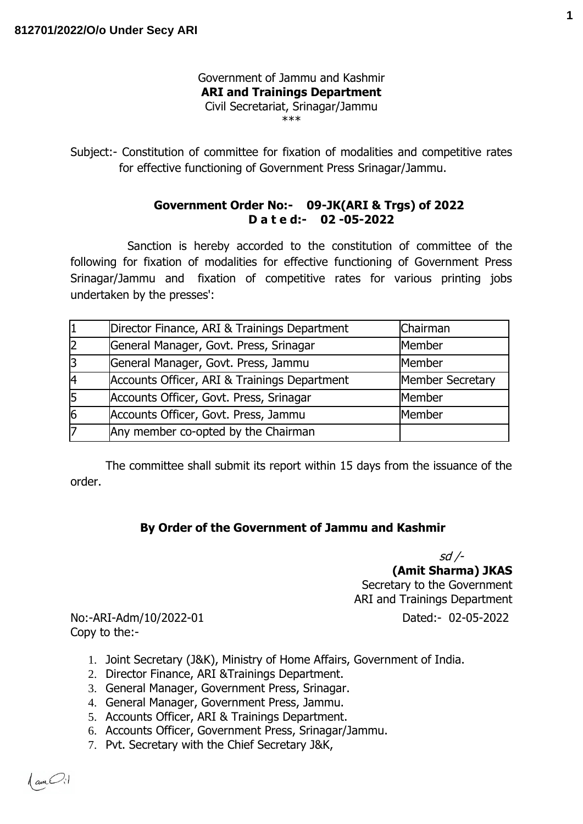## Government of Jammu and Kashmir **ARI and Trainings Department** Civil Secretariat, Srinagar/Jammu \*\*\*

Subject:- Constitution of committee for fixation of modalities and competitive rates for effective functioning of Government Press Srinagar/Jammu.

## **Government Order No:- 09-JK(ARI & Trgs) of 2022 D a t e d:- 02 -05-2022**

 Sanction is hereby accorded to the constitution of committee of the following for fixation of modalities for effective functioning of Government Press Srinagar/Jammu and fixation of competitive rates for various printing jobs undertaken by the presses':

|    | Director Finance, ARI & Trainings Department | Chairman                |
|----|----------------------------------------------|-------------------------|
| 2  | General Manager, Govt. Press, Srinagar       | Member                  |
| 3  | General Manager, Govt. Press, Jammu          | Member                  |
| 4  | Accounts Officer, ARI & Trainings Department | <b>Member Secretary</b> |
| 15 | Accounts Officer, Govt. Press, Srinagar      | Member                  |
| 6  | Accounts Officer, Govt. Press, Jammu         | Member                  |
|    | Any member co-opted by the Chairman          |                         |

The committee shall submit its report within 15 days from the issuance of the order.

## **By Order of the Government of Jammu and Kashmir**

sd /- **(Amit Sharma) JKAS** Secretary to the Government ARI and Trainings Department

No:-ARI-Adm/10/2022-01 Dated:- 02-05-2022 Copy to the:-

- 1. Joint Secretary (J&K), Ministry of Home Affairs, Government of India.
- 2. Director Finance, ARI &Trainings Department.
- 3. General Manager, Government Press, Srinagar.
- 4. General Manager, Government Press, Jammu.
- 5. Accounts Officer, ARI & Trainings Department.
- 6. Accounts Officer, Government Press, Srinagar/Jammu.
- 7. Pvt. Secretary with the Chief Secretary J&K,